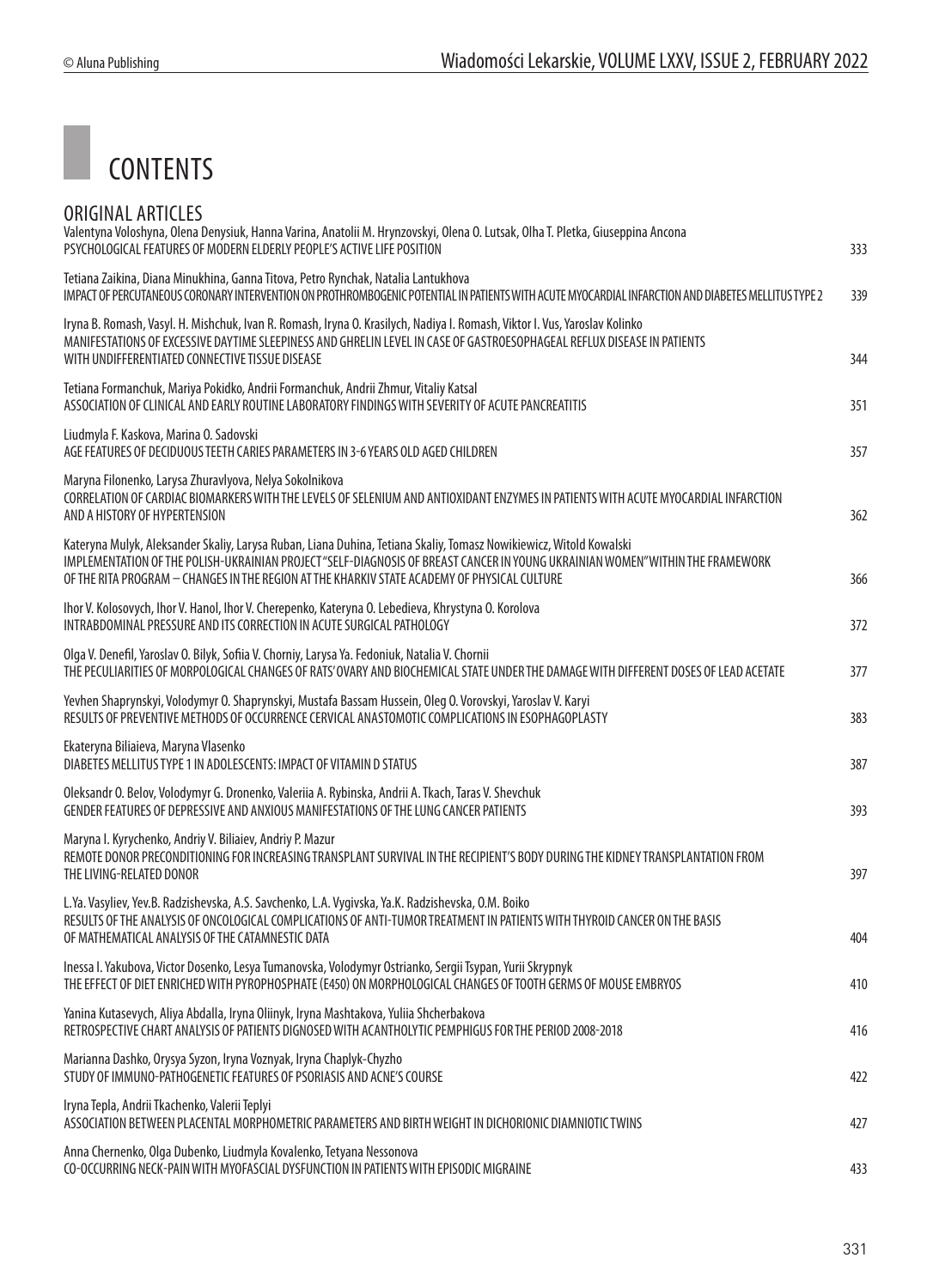

| ORIGINAL ARTICLES<br>Valentyna Voloshyna, Olena Denysiuk, Hanna Varina, Anatolii M. Hrynzovskyi, Olena O. Lutsak, Olha T. Pletka, Giuseppina Ancona<br>PSYCHOLOGICAL FEATURES OF MODERN ELDERLY PEOPLE'S ACTIVE LIFE POSITION                                                                                                                        | 333 |
|------------------------------------------------------------------------------------------------------------------------------------------------------------------------------------------------------------------------------------------------------------------------------------------------------------------------------------------------------|-----|
| Tetiana Zaikina, Diana Minukhina, Ganna Titova, Petro Rynchak, Natalia Lantukhova<br>IMPACT OF PERCUTANEOUS CORONARY INTERVENTION ON PROTHROMBOGENIC POTENTIAL IN PATIENTS WITH ACUTE MYOCARDIAL INFARCTION AND DIABETES MELLITUS TYPE 2                                                                                                             | 339 |
| Iryna B. Romash, Vasyl. H. Mishchuk, Ivan R. Romash, Iryna O. Krasilych, Nadiya I. Romash, Viktor I. Vus, Yaroslav Kolinko<br>MANIFESTATIONS OF EXCESSIVE DAYTIME SLEEPINESS AND GHRELIN LEVEL IN CASE OF GASTROESOPHAGEAL REFLUX DISEASE IN PATIENTS<br>WITH UNDIFFERENTIATED CONNECTIVE TISSUE DISEASE                                             | 344 |
| Tetiana Formanchuk, Mariya Pokidko, Andrii Formanchuk, Andrii Zhmur, Vitaliy Katsal<br>ASSOCIATION OF CLINICAL AND EARLY ROUTINE LABORATORY FINDINGS WITH SEVERITY OF ACUTE PANCREATITIS                                                                                                                                                             | 351 |
| Liudmyla F. Kaskova, Marina O. Sadovski<br>AGE FEATURES OF DECIDUOUS TEETH CARIES PARAMETERS IN 3-6 YEARS OLD AGED CHILDREN                                                                                                                                                                                                                          | 357 |
| Maryna Filonenko, Larysa Zhuravlyova, Nelya Sokolnikova<br>CORRELATION OF CARDIAC BIOMARKERS WITH THE LEVELS OF SELENIUM AND ANTIOXIDANT ENZYMES IN PATIENTS WITH ACUTE MYOCARDIAL INFARCTION<br>AND A HISTORY OF HYPERTENSION                                                                                                                       | 362 |
| Kateryna Mulyk, Aleksander Skaliy, Larysa Ruban, Liana Duhina, Tetiana Skaliy, Tomasz Nowikiewicz, Witold Kowalski<br>IMPLEMENTATION OF THE POLISH-UKRAINIAN PROJECT "SELF-DIAGNOSIS OF BREAST CANCER IN YOUNG UKRAINIAN WOMEN" WITHIN THE FRAMEWORK<br>OF THE RITA PROGRAM - CHANGES IN THE REGION AT THE KHARKIV STATE ACADEMY OF PHYSICAL CULTURE | 366 |
| Ihor V. Kolosovych, Ihor V. Hanol, Ihor V. Cherepenko, Kateryna O. Lebedieva, Khrystyna O. Korolova<br>INTRABDOMINAL PRESSURE AND ITS CORRECTION IN ACUTE SURGICAL PATHOLOGY                                                                                                                                                                         | 372 |
| Olga V. Denefil, Yaroslav O. Bilyk, Sofiia V. Chorniy, Larysa Ya. Fedoniuk, Natalia V. Chornii<br>THE PECULIARITIES OF MORPOLOGICAL CHANGES OF RATS' OVARY AND BIOCHEMICAL STATE UNDER THE DAMAGE WITH DIFFERENT DOSES OF LEAD ACETATE                                                                                                               | 377 |
| Yevhen Shaprynskyi, Volodymyr O. Shaprynskyi, Mustafa Bassam Hussein, Oleg O. Vorovskyi, Yaroslav V. Karyi<br>RESULTS OF PREVENTIVE METHODS OF OCCURRENCE CERVICAL ANASTOMOTIC COMPLICATIONS IN ESOPHAGOPLASTY                                                                                                                                       | 383 |
| Ekateryna Biliaieva, Maryna Vlasenko<br>DIABETES MELLITUS TYPE 1 IN ADOLESCENTS: IMPACT OF VITAMIN D STATUS                                                                                                                                                                                                                                          | 387 |
| Oleksandr O. Belov, Volodymyr G. Dronenko, Valeriia A. Rybinska, Andrii A. Tkach, Taras V. Shevchuk<br>GENDER FEATURES OF DEPRESSIVE AND ANXIOUS MANIFESTATIONS OF THE LUNG CANCER PATIENTS                                                                                                                                                          | 393 |
| Maryna I. Kyrychenko, Andriy V. Biliaiev, Andriy P. Mazur<br>REMOTE DONOR PRECONDITIONING FOR INCREASING TRANSPLANT SURVIVAL IN THE RECIPIENT'S BODY DURING THE KIDNEY TRANSPLANTATION FROM<br>THE LIVING-RELATED DONOR                                                                                                                              | 397 |
| L.Ya. Vasyliev, Yev.B. Radzishevska, A.S. Savchenko, L.A. Vygivska, Ya.K. Radzishevska, O.M. Boiko<br>RESULTS OF THE ANALYSIS OF ONCOLOGICAL COMPLICATIONS OF ANTI-TUMOR TREATMENT IN PATIENTS WITH THYROID CANCER ON THE BASIS<br>OF MATHEMATICAL ANALYSIS OF THE CATAMNESTIC DATA                                                                  | 404 |
| Inessa I. Yakubova, Victor Dosenko, Lesya Tumanovska, Volodymyr Ostrianko, Sergii Tsypan, Yurii Skrypnyk<br>THE EFFECT OF DIET ENRICHED WITH PYROPHOSPHATE (E450) ON MORPHOLOGICAL CHANGES OF TOOTH GERMS OF MOUSE EMBRYOS                                                                                                                           | 410 |
| Yanina Kutasevych, Aliya Abdalla, Iryna Oliinyk, Iryna Mashtakova, Yuliia Shcherbakova<br>RETROSPECTIVE CHART ANALYSIS OF PATIENTS DIGNOSED WITH ACANTHOLYTIC PEMPHIGUS FOR THE PERIOD 2008-2018                                                                                                                                                     | 416 |
| Marianna Dashko, Orysya Syzon, Iryna Voznyak, Iryna Chaplyk-Chyzho<br>STUDY OF IMMUNO-PATHOGENETIC FEATURES OF PSORIASIS AND ACNE'S COURSE                                                                                                                                                                                                           | 422 |
| Iryna Tepla, Andrii Tkachenko, Valerii Teplyi<br>ASSOCIATION BETWEEN PLACENTAL MORPHOMETRIC PARAMETERS AND BIRTH WEIGHT IN DICHORIONIC DIAMNIOTIC TWINS                                                                                                                                                                                              | 427 |
| Anna Chernenko, Olga Dubenko, Liudmyla Kovalenko, Tetyana Nessonova<br>CO-OCCURRING NECK-PAIN WITH MYOFASCIAL DYSFUNCTION IN PATIENTS WITH EPISODIC MIGRAINE                                                                                                                                                                                         | 433 |
|                                                                                                                                                                                                                                                                                                                                                      |     |